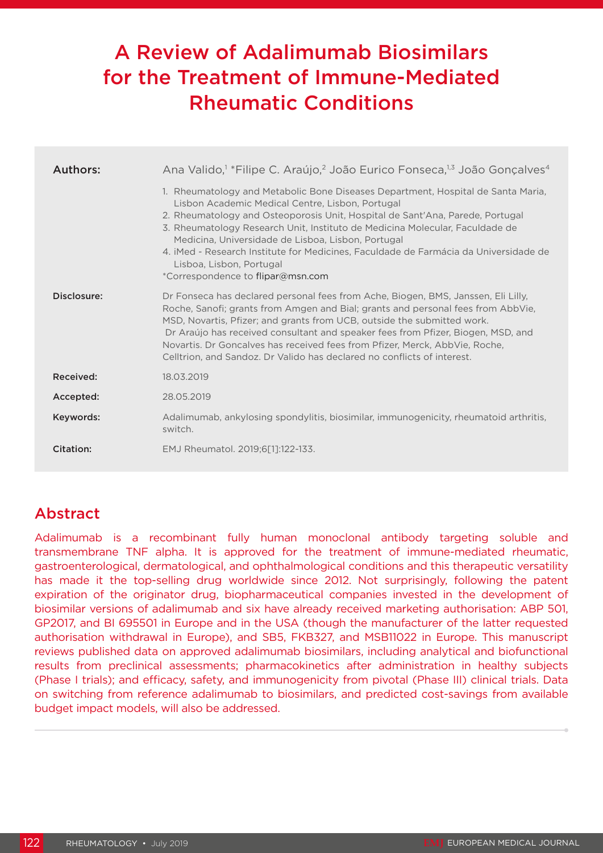# A Review of Adalimumab Biosimilars for the Treatment of Immune-Mediated Rheumatic Conditions

| Authors:    | Ana Valido, <sup>1</sup> * Filipe C. Araújo, <sup>2</sup> João Eurico Fonseca, <sup>1,3</sup> João Gonçalves <sup>4</sup>                                                                                                                                                                                                                                                                                                                                                                                            |
|-------------|----------------------------------------------------------------------------------------------------------------------------------------------------------------------------------------------------------------------------------------------------------------------------------------------------------------------------------------------------------------------------------------------------------------------------------------------------------------------------------------------------------------------|
|             | 1. Rheumatology and Metabolic Bone Diseases Department, Hospital de Santa Maria,<br>Lisbon Academic Medical Centre, Lisbon, Portugal<br>2. Rheumatology and Osteoporosis Unit, Hospital de Sant'Ana, Parede, Portugal<br>3. Rheumatology Research Unit, Instituto de Medicina Molecular, Faculdade de<br>Medicina, Universidade de Lisboa, Lisbon, Portugal<br>4. iMed - Research Institute for Medicines. Faculdade de Farmácia da Universidade de<br>Lisboa, Lisbon, Portugal<br>*Correspondence to flipar@msn.com |
| Disclosure: | Dr Fonseca has declared personal fees from Ache, Biogen, BMS, Janssen, Eli Lilly,<br>Roche, Sanofi; grants from Amgen and Bial; grants and personal fees from AbbVie,<br>MSD, Novartis, Pfizer; and grants from UCB, outside the submitted work.<br>Dr Araújo has received consultant and speaker fees from Pfizer, Biogen, MSD, and<br>Novartis. Dr Goncalves has received fees from Pfizer, Merck, AbbVie, Roche,<br>Celltrion, and Sandoz. Dr Valido has declared no conflicts of interest.                       |
| Received:   | 18.03.2019                                                                                                                                                                                                                                                                                                                                                                                                                                                                                                           |
| Accepted:   | 28.05.2019                                                                                                                                                                                                                                                                                                                                                                                                                                                                                                           |
| Keywords:   | Adalimumab, ankylosing spondylitis, biosimilar, immunogenicity, rheumatoid arthritis,<br>switch.                                                                                                                                                                                                                                                                                                                                                                                                                     |
| Citation:   | EMJ Rheumatol. 2019:6[11:122-133.                                                                                                                                                                                                                                                                                                                                                                                                                                                                                    |

# Abstract

Adalimumab is a recombinant fully human monoclonal antibody targeting soluble and transmembrane TNF alpha. It is approved for the treatment of immune-mediated rheumatic, gastroenterological, dermatological, and ophthalmological conditions and this therapeutic versatility has made it the top-selling drug worldwide since 2012. Not surprisingly, following the patent expiration of the originator drug, biopharmaceutical companies invested in the development of biosimilar versions of adalimumab and six have already received marketing authorisation: ABP 501, GP2017, and BI 695501 in Europe and in the USA (though the manufacturer of the latter requested authorisation withdrawal in Europe), and SB5, FKB327, and MSB11022 in Europe. This manuscript reviews published data on approved adalimumab biosimilars, including analytical and biofunctional results from preclinical assessments; pharmacokinetics after administration in healthy subjects (Phase I trials); and efficacy, safety, and immunogenicity from pivotal (Phase III) clinical trials. Data on switching from reference adalimumab to biosimilars, and predicted cost-savings from available budget impact models, will also be addressed.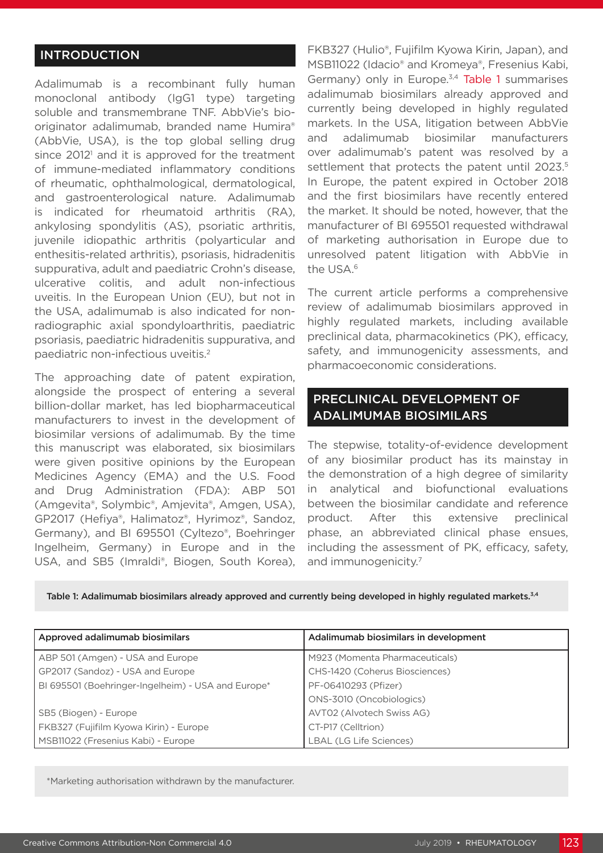## INTRODUCTION

Adalimumab is a recombinant fully human monoclonal antibody (IgG1 type) targeting soluble and transmembrane TNF. AbbVie's biooriginator adalimumab, branded name Humira® (AbbVie, USA), is the top global selling drug since  $2012<sup>1</sup>$  and it is approved for the treatment of immune-mediated inflammatory conditions of rheumatic, ophthalmological, dermatological, and gastroenterological nature. Adalimumab is indicated for rheumatoid arthritis (RA), ankylosing spondylitis (AS), psoriatic arthritis, juvenile idiopathic arthritis (polyarticular and enthesitis-related arthritis), psoriasis, hidradenitis suppurativa, adult and paediatric Crohn's disease, ulcerative colitis, and adult non-infectious uveitis. In the European Union (EU), but not in the USA, adalimumab is also indicated for nonradiographic axial spondyloarthritis, paediatric psoriasis, paediatric hidradenitis suppurativa, and paediatric non-infectious uveitis.2

The approaching date of patent expiration, alongside the prospect of entering a several billion-dollar market, has led biopharmaceutical manufacturers to invest in the development of biosimilar versions of adalimumab. By the time this manuscript was elaborated, six biosimilars were given positive opinions by the European Medicines Agency (EMA) and the U.S. Food and Drug Administration (FDA): ABP 501 (Amgevita®, Solymbic®, Amjevita®, Amgen, USA), GP2017 (Hefiya®, Halimatoz®, Hyrimoz®, Sandoz, Germany), and BI 695501 (Cyltezo®, Boehringer Ingelheim, Germany) in Europe and in the USA, and SB5 (Imraldi®, Biogen, South Korea),

FKB327 (Hulio®, Fujifilm Kyowa Kirin, Japan), and MSB11022 (Idacio® and Kromeya®, Fresenius Kabi, Germany) only in Europe.<sup>3,4</sup> Table 1 summarises adalimumab biosimilars already approved and currently being developed in highly regulated markets. In the USA, litigation between AbbVie and adalimumab biosimilar manufacturers over adalimumab's patent was resolved by a settlement that protects the patent until 2023.<sup>5</sup> In Europe, the patent expired in October 2018 and the first biosimilars have recently entered the market. It should be noted, however, that the manufacturer of BI 695501 requested withdrawal of marketing authorisation in Europe due to unresolved patent litigation with AbbVie in the USA.<sup>6</sup>

The current article performs a comprehensive review of adalimumab biosimilars approved in highly regulated markets, including available preclinical data, pharmacokinetics (PK), efficacy, safety, and immunogenicity assessments, and pharmacoeconomic considerations.

## PRECLINICAL DEVELOPMENT OF ADALIMUMAB BIOSIMILARS

The stepwise, totality-of-evidence development of any biosimilar product has its mainstay in the demonstration of a high degree of similarity in analytical and biofunctional evaluations between the biosimilar candidate and reference product. After this extensive preclinical phase, an abbreviated clinical phase ensues, including the assessment of PK, efficacy, safety, and immunogenicity.<sup>7</sup>

Table 1: Adalimumab biosimilars already approved and currently being developed in highly regulated markets.<sup>3,4</sup>

| Approved adalimumab biosimilars                    | Adalimumab biosimilars in development |
|----------------------------------------------------|---------------------------------------|
| ABP 501 (Amgen) - USA and Europe                   | M923 (Momenta Pharmaceuticals)        |
| GP2017 (Sandoz) - USA and Europe                   | CHS-1420 (Coherus Biosciences)        |
| BI 695501 (Boehringer-Ingelheim) - USA and Europe* | PF-06410293 (Pfizer)                  |
|                                                    | ONS-3010 (Oncobiologics)              |
| SB5 (Biogen) - Europe                              | AVT02 (Alvotech Swiss AG)             |
| FKB327 (Fujifilm Kyowa Kirin) - Europe             | CT-P17 (Celltrion)                    |
| MSB11022 (Fresenius Kabi) - Europe                 | LBAL (LG Life Sciences)               |

\*Marketing authorisation withdrawn by the manufacturer.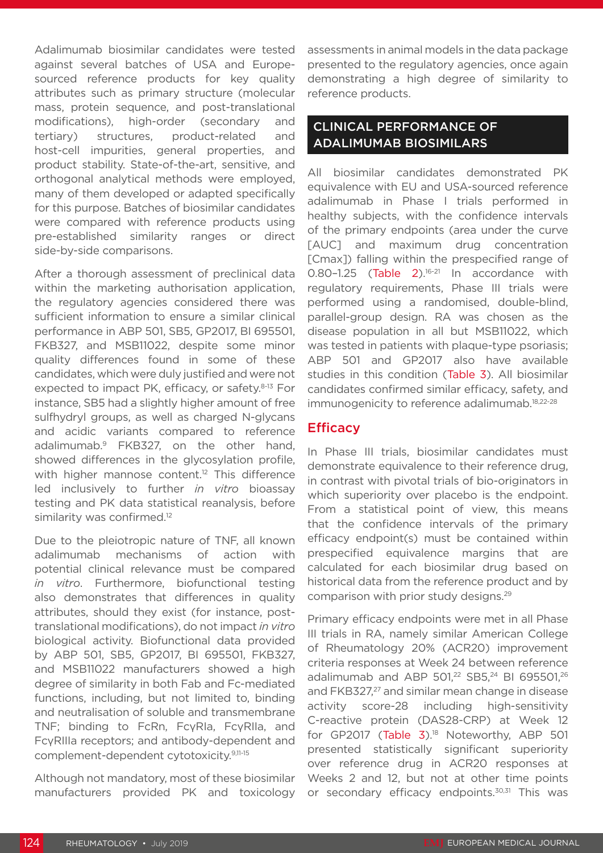Adalimumab biosimilar candidates were tested against several batches of USA and Europesourced reference products for key quality attributes such as primary structure (molecular mass, protein sequence, and post-translational modifications), high-order (secondary and tertiary) structures, product-related and host-cell impurities, general properties, and product stability. State-of-the-art, sensitive, and orthogonal analytical methods were employed, many of them developed or adapted specifically for this purpose. Batches of biosimilar candidates were compared with reference products using pre-established similarity ranges or direct side-by-side comparisons.

After a thorough assessment of preclinical data within the marketing authorisation application, the regulatory agencies considered there was sufficient information to ensure a similar clinical performance in ABP 501, SB5, GP2017, BI 695501, FKB327, and MSB11022, despite some minor quality differences found in some of these candidates, which were duly justified and were not expected to impact PK, efficacy, or safety.<sup>8-13</sup> For instance, SB5 had a slightly higher amount of free sulfhydryl groups, as well as charged N-glycans and acidic variants compared to reference adalimumab.9 FKB327, on the other hand, showed differences in the glycosylation profile, with higher mannose content.<sup>12</sup> This difference led inclusively to further *in vitro* bioassay testing and PK data statistical reanalysis, before similarity was confirmed.<sup>12</sup>

Due to the pleiotropic nature of TNF, all known adalimumab mechanisms of action with potential clinical relevance must be compared *in vitro*. Furthermore, biofunctional testing also demonstrates that differences in quality attributes, should they exist (for instance, posttranslational modifications), do not impact *in vitro* biological activity. Biofunctional data provided by ABP 501, SB5, GP2017, BI 695501, FKB327, and MSB11022 manufacturers showed a high degree of similarity in both Fab and Fc-mediated functions, including, but not limited to, binding and neutralisation of soluble and transmembrane TNF; binding to FcRn, FcγRIa, FcγRIIa, and FcγRIIIa receptors; and antibody-dependent and complement-dependent cytotoxicity.9,11-15

Although not mandatory, most of these biosimilar manufacturers provided PK and toxicology assessments in animal models in the data package presented to the regulatory agencies, once again demonstrating a high degree of similarity to reference products.

## CLINICAL PERFORMANCE OF ADALIMUMAB BIOSIMILARS

All biosimilar candidates demonstrated PK equivalence with EU and USA-sourced reference adalimumab in Phase I trials performed in healthy subjects, with the confidence intervals of the primary endpoints (area under the curve [AUC] and maximum drug concentration [Cmax]) falling within the prespecified range of 0.80-1.25 (Table 2).<sup>16-21</sup> In accordance with regulatory requirements, Phase III trials were performed using a randomised, double-blind, parallel-group design. RA was chosen as the disease population in all but MSB11022, which was tested in patients with plaque-type psoriasis; ABP 501 and GP2017 also have available studies in this condition (Table 3). All biosimilar candidates confirmed similar efficacy, safety, and immunogenicity to reference adalimumab.<sup>18,22-28</sup>

## **Efficacy**

In Phase III trials, biosimilar candidates must demonstrate equivalence to their reference drug, in contrast with pivotal trials of bio-originators in which superiority over placebo is the endpoint. From a statistical point of view, this means that the confidence intervals of the primary efficacy endpoint(s) must be contained within prespecified equivalence margins that are calculated for each biosimilar drug based on historical data from the reference product and by comparison with prior study designs.29

Primary efficacy endpoints were met in all Phase III trials in RA, namely similar American College of Rheumatology 20% (ACR20) improvement criteria responses at Week 24 between reference adalimumab and ABP 501,<sup>22</sup> SB5,<sup>24</sup> BI 695501,<sup>26</sup> and FKB327,<sup>27</sup> and similar mean change in disease activity score-28 including high-sensitivity C-reactive protein (DAS28-CRP) at Week 12 for GP2017 (Table 3).<sup>18</sup> Noteworthy, ABP 501 presented statistically significant superiority over reference drug in ACR20 responses at Weeks 2 and 12, but not at other time points or secondary efficacy endpoints.<sup>30,31</sup> This was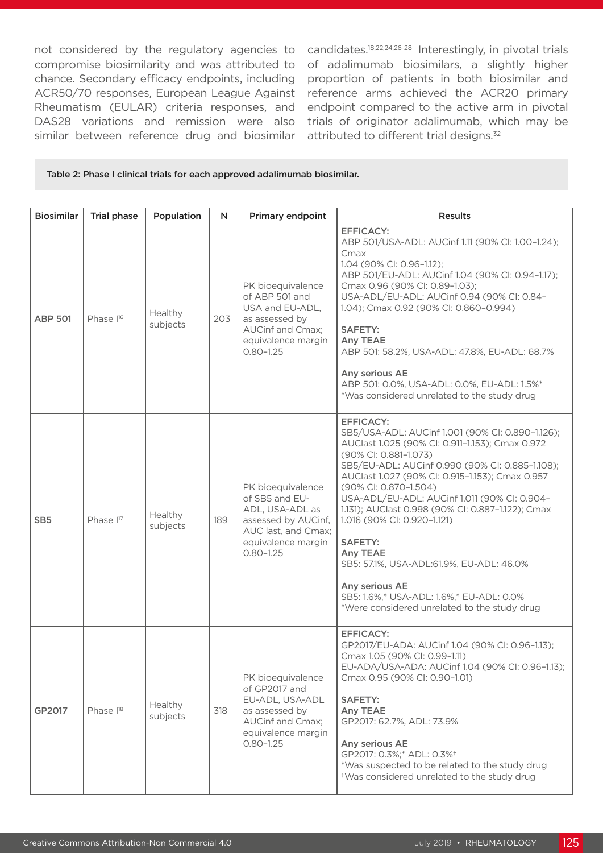not considered by the regulatory agencies to compromise biosimilarity and was attributed to chance. Secondary efficacy endpoints, including ACR50/70 responses, European League Against Rheumatism (EULAR) criteria responses, and DAS28 variations and remission were also similar between reference drug and biosimilar

candidates.18,22,24,26-28 Interestingly, in pivotal trials of adalimumab biosimilars, a slightly higher proportion of patients in both biosimilar and reference arms achieved the ACR20 primary endpoint compared to the active arm in pivotal trials of originator adalimumab, which may be attributed to different trial designs.<sup>32</sup>

### Table 2: Phase I clinical trials for each approved adalimumab biosimilar.

| <b>Biosimilar</b> | <b>Trial phase</b>    | Population          | N   | Primary endpoint                                                                                                                            | <b>Results</b>                                                                                                                                                                                                                                                                                                                                                                                                                                                                                                                                                                                              |
|-------------------|-----------------------|---------------------|-----|---------------------------------------------------------------------------------------------------------------------------------------------|-------------------------------------------------------------------------------------------------------------------------------------------------------------------------------------------------------------------------------------------------------------------------------------------------------------------------------------------------------------------------------------------------------------------------------------------------------------------------------------------------------------------------------------------------------------------------------------------------------------|
| <b>ABP 501</b>    | Phase I <sup>16</sup> | Healthy<br>subjects | 203 | PK bioequivalence<br>of ABP 501 and<br>USA and EU-ADL,<br>as assessed by<br>AUCinf and Cmax;<br>equivalence margin<br>$0.80 - 1.25$         | <b>EFFICACY:</b><br>ABP 501/USA-ADL: AUCinf 1.11 (90% CI: 1.00-1.24);<br>Cmax<br>1.04 (90% CI: 0.96-1.12);<br>ABP 501/EU-ADL: AUCinf 1.04 (90% CI: 0.94-1.17);<br>Cmax 0.96 (90% CI: 0.89-1.03);<br>USA-ADL/EU-ADL: AUCinf 0.94 (90% CI: 0.84-<br>1.04); Cmax 0.92 (90% Cl: 0.860-0.994)<br><b>SAFETY:</b><br>Any TEAE<br>ABP 501: 58.2%, USA-ADL: 47.8%, EU-ADL: 68.7%<br>Any serious AE<br>ABP 501: 0.0%, USA-ADL: 0.0%, EU-ADL: 1.5%*<br>*Was considered unrelated to the study drug                                                                                                                     |
| SB <sub>5</sub>   | Phase I <sup>17</sup> | Healthy<br>subjects | 189 | PK bioequivalence<br>of SB5 and EU-<br>ADL, USA-ADL as<br>assessed by AUCinf,<br>AUC last, and Cmax;<br>equivalence margin<br>$0.80 - 1.25$ | <b>EFFICACY:</b><br>SB5/USA-ADL: AUCinf 1.001 (90% CI: 0.890-1.126);<br>AUClast 1.025 (90% CI: 0.911-1.153); Cmax 0.972<br>(90% CI: 0.881-1.073)<br>SB5/EU-ADL: AUCinf 0.990 (90% CI: 0.885-1.108);<br>AUClast 1.027 (90% Cl: 0.915-1.153); Cmax 0.957<br>(90% Cl: 0.870-1.504)<br>USA-ADL/EU-ADL: AUCinf 1.011 (90% CI: 0.904-<br>1.131); AUClast 0.998 (90% CI: 0.887-1.122); Cmax<br>1.016 (90% CI: 0.920-1.121)<br><b>SAFETY:</b><br>Any TEAE<br>SB5: 57.1%, USA-ADL:61.9%, EU-ADL: 46.0%<br>Any serious AE<br>SB5: 1.6%,* USA-ADL: 1.6%,* EU-ADL: 0.0%<br>*Were considered unrelated to the study drug |
| GP2017            | Phase l <sup>18</sup> | Healthy<br>subjects | 318 | PK bioequivalence<br>of GP2017 and<br>EU-ADL, USA-ADL<br>as assessed by<br>AUCinf and Cmax;<br>equivalence margin<br>$0.80 - 1.25$          | <b>EFFICACY:</b><br>GP2017/EU-ADA: AUCinf 1.04 (90% CI: 0.96-1.13);<br>Cmax 1.05 (90% CI: 0.99-1.11)<br>EU-ADA/USA-ADA: AUCinf 1.04 (90% CI: 0.96-1.13);<br>Cmax 0.95 (90% CI: 0.90-1.01)<br><b>SAFETY:</b><br>Any TEAE<br>GP2017: 62.7%, ADL: 73.9%<br>Any serious AE<br>GP2017: 0.3%;* ADL: 0.3% <sup>+</sup><br>*Was suspected to be related to the study drug<br>*Was considered unrelated to the study drug                                                                                                                                                                                            |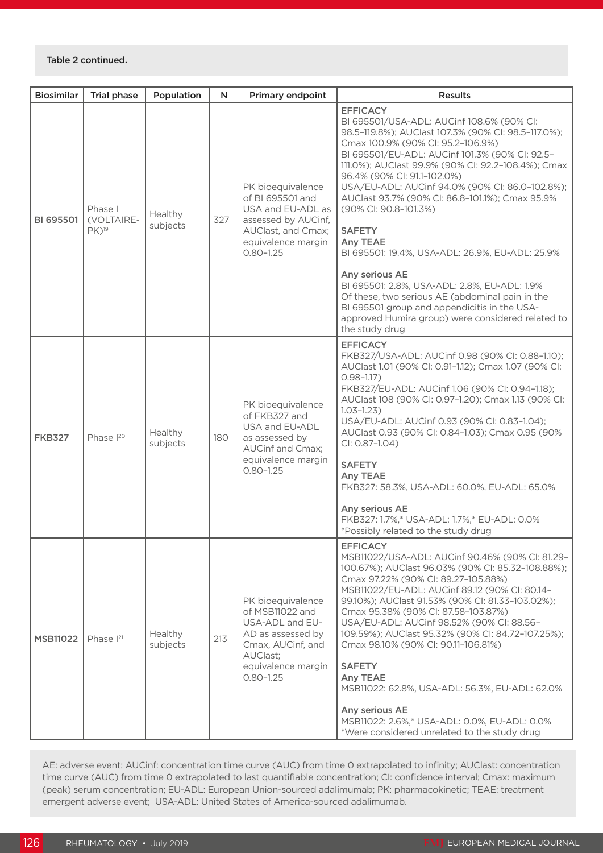| <b>Biosimilar</b> | <b>Trial phase</b>                           | Population          | N   | Primary endpoint                                                                                                                                     | <b>Results</b>                                                                                                                                                                                                                                                                                                                                                                                                                                                                                                                                                                                                                                                                                                                                             |
|-------------------|----------------------------------------------|---------------------|-----|------------------------------------------------------------------------------------------------------------------------------------------------------|------------------------------------------------------------------------------------------------------------------------------------------------------------------------------------------------------------------------------------------------------------------------------------------------------------------------------------------------------------------------------------------------------------------------------------------------------------------------------------------------------------------------------------------------------------------------------------------------------------------------------------------------------------------------------------------------------------------------------------------------------------|
| BI 695501         | Phase I<br>(VOLTAIRE-<br>$PK)$ <sup>19</sup> | Healthy<br>subjects | 327 | PK bioequivalence<br>of BI 695501 and<br>USA and EU-ADL as<br>assessed by AUCinf,<br>AUClast, and Cmax;<br>equivalence margin<br>$0.80 - 1.25$       | <b>EFFICACY</b><br>BI 695501/USA-ADL: AUCinf 108.6% (90% CI:<br>98.5-119.8%); AUClast 107.3% (90% CI: 98.5-117.0%);<br>Cmax 100.9% (90% CI: 95.2-106.9%)<br>BI 695501/EU-ADL: AUCinf 101.3% (90% CI: 92.5-<br>111.0%); AUClast 99.9% (90% CI: 92.2-108.4%); Cmax<br>96.4% (90% CI: 91.1-102.0%)<br>USA/EU-ADL: AUCinf 94.0% (90% Cl: 86.0-102.8%);<br>AUClast 93.7% (90% CI: 86.8-101.1%); Cmax 95.9%<br>(90% CI: 90.8-101.3%)<br><b>SAFETY</b><br>Any TEAE<br>BI 695501: 19.4%, USA-ADL: 26.9%, EU-ADL: 25.9%<br>Any serious AE<br>BI 695501: 2.8%, USA-ADL: 2.8%, EU-ADL: 1.9%<br>Of these, two serious AE (abdominal pain in the<br>BI 695501 group and appendicitis in the USA-<br>approved Humira group) were considered related to<br>the study drug |
| <b>FKB327</b>     | Phase <sup>120</sup>                         | Healthy<br>subjects | 180 | PK bioequivalence<br>of FKB327 and<br>USA and EU-ADL<br>as assessed by<br>AUCinf and Cmax;<br>equivalence margin<br>$0.80 - 1.25$                    | <b>EFFICACY</b><br>FKB327/USA-ADL: AUCinf 0.98 (90% Cl: 0.88-1.10);<br>AUClast 1.01 (90% CI: 0.91-1.12); Cmax 1.07 (90% CI:<br>$0.98 - 1.17$ )<br>FKB327/EU-ADL: AUCinf 1.06 (90% CI: 0.94-1.18);<br>AUClast 108 (90% Cl: 0.97-1.20); Cmax 1.13 (90% Cl:<br>$1.03 - 1.23$<br>USA/EU-ADL: AUCinf 0.93 (90% Cl: 0.83-1.04);<br>AUClast 0.93 (90% Cl: 0.84-1.03); Cmax 0.95 (90%<br>CI: 0.87-1.04)<br><b>SAFETY</b><br>Any TEAE<br>FKB327: 58.3%, USA-ADL: 60.0%, EU-ADL: 65.0%<br>Any serious AE<br>FKB327: 1.7%,* USA-ADL: 1.7%,* EU-ADL: 0.0%<br>*Possibly related to the study drug                                                                                                                                                                       |
| <b>MSB11022</b>   | Phase $I21$                                  | Healthy<br>subjects | 213 | PK bioequivalence<br>of MSB11022 and<br>USA-ADL and EU-<br>AD as assessed by<br>Cmax, AUCinf, and<br>AUClast;<br>equivalence margin<br>$0.80 - 1.25$ | <b>EFFICACY</b><br>MSB11022/USA-ADL: AUCinf 90.46% (90% Cl: 81.29-<br>100.67%); AUClast 96.03% (90% Cl: 85.32-108.88%);<br>Cmax 97.22% (90% CI: 89.27-105.88%)<br>MSB11022/EU-ADL: AUCinf 89.12 (90% CI: 80.14-<br>99.10%); AUClast 91.53% (90% CI: 81.33-103.02%);<br>Cmax 95.38% (90% Cl: 87.58-103.87%)<br>USA/EU-ADL: AUCinf 98.52% (90% Cl: 88.56-<br>109.59%); AUClast 95.32% (90% CI: 84.72-107.25%);<br>Cmax 98.10% (90% Cl: 90.11-106.81%)<br><b>SAFETY</b><br>Any TEAE<br>MSB11022: 62.8%, USA-ADL: 56.3%, EU-ADL: 62.0%<br>Any serious AE<br>MSB11022: 2.6%,* USA-ADL: 0.0%, EU-ADL: 0.0%<br>*Were considered unrelated to the study drug                                                                                                       |

AE: adverse event; AUCinf: concentration time curve (AUC) from time 0 extrapolated to infinity; AUClast: concentration time curve (AUC) from time 0 extrapolated to last quantifiable concentration; CI: confidence interval; Cmax: maximum (peak) serum concentration; EU-ADL: European Union-sourced adalimumab; PK: pharmacokinetic; TEAE: treatment emergent adverse event; USA-ADL: United States of America-sourced adalimumab.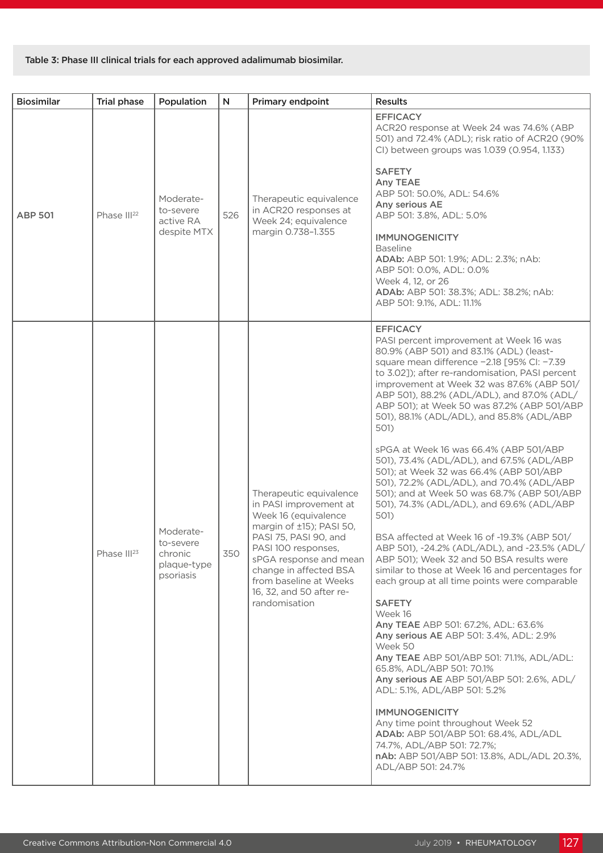## Table 3: Phase III clinical trials for each approved adalimumab biosimilar.

| <b>Biosimilar</b> | <b>Trial phase</b>      | Population                                                    | N   | Primary endpoint                                                                                                                                                                                                                                                                 | <b>Results</b>                                                                                                                                                                                                                                                                                                                                                                                                                                                                                                                                                                                                                                                                                                                                                                                                                                                                                                                                                                                                                                                                                                                                                                                                                                                                                                                                                                                                                        |
|-------------------|-------------------------|---------------------------------------------------------------|-----|----------------------------------------------------------------------------------------------------------------------------------------------------------------------------------------------------------------------------------------------------------------------------------|---------------------------------------------------------------------------------------------------------------------------------------------------------------------------------------------------------------------------------------------------------------------------------------------------------------------------------------------------------------------------------------------------------------------------------------------------------------------------------------------------------------------------------------------------------------------------------------------------------------------------------------------------------------------------------------------------------------------------------------------------------------------------------------------------------------------------------------------------------------------------------------------------------------------------------------------------------------------------------------------------------------------------------------------------------------------------------------------------------------------------------------------------------------------------------------------------------------------------------------------------------------------------------------------------------------------------------------------------------------------------------------------------------------------------------------|
| <b>ABP 501</b>    | Phase III <sup>22</sup> | Moderate-<br>to-severe<br>active RA<br>despite MTX            | 526 | Therapeutic equivalence<br>in ACR20 responses at<br>Week 24; equivalence<br>margin 0.738-1.355                                                                                                                                                                                   | <b>EFFICACY</b><br>ACR20 response at Week 24 was 74.6% (ABP<br>501) and 72.4% (ADL); risk ratio of ACR20 (90%<br>CI) between groups was 1.039 (0.954, 1.133)<br><b>SAFETY</b><br>Any TEAE<br>ABP 501: 50.0%, ADL: 54.6%<br>Any serious AE<br>ABP 501: 3.8%, ADL: 5.0%<br><b>IMMUNOGENICITY</b><br><b>Baseline</b><br>ADAb: ABP 501: 1.9%; ADL: 2.3%; nAb:<br>ABP 501: 0.0%, ADL: 0.0%<br>Week 4, 12, or 26<br>ADAb: ABP 501: 38.3%; ADL: 38.2%; nAb:<br>ABP 501: 9.1%, ADL: 11.1%                                                                                                                                                                                                                                                                                                                                                                                                                                                                                                                                                                                                                                                                                                                                                                                                                                                                                                                                                     |
|                   | Phase III <sup>23</sup> | Moderate-<br>to-severe<br>chronic<br>plaque-type<br>psoriasis | 350 | Therapeutic equivalence<br>in PASI improvement at<br>Week 16 (equivalence<br>margin of ±15); PASI 50,<br>PASI 75, PASI 90, and<br>PASI 100 responses,<br>sPGA response and mean<br>change in affected BSA<br>from baseline at Weeks<br>16, 32, and 50 after re-<br>randomisation | <b>EFFICACY</b><br>PASI percent improvement at Week 16 was<br>80.9% (ABP 501) and 83.1% (ADL) (least-<br>square mean difference -2.18 [95% CI: -7.39<br>to 3.02]); after re-randomisation, PASI percent<br>improvement at Week 32 was 87.6% (ABP 501/<br>ABP 501), 88.2% (ADL/ADL), and 87.0% (ADL/<br>ABP 501); at Week 50 was 87.2% (ABP 501/ABP<br>501), 88.1% (ADL/ADL), and 85.8% (ADL/ABP<br>501)<br>sPGA at Week 16 was 66.4% (ABP 501/ABP<br>501), 73.4% (ADL/ADL), and 67.5% (ADL/ABP<br>501); at Week 32 was 66.4% (ABP 501/ABP<br>501), 72.2% (ADL/ADL), and 70.4% (ADL/ABP<br>501); and at Week 50 was 68.7% (ABP 501/ABP<br>501), 74.3% (ADL/ADL), and 69.6% (ADL/ABP<br>501)<br>BSA affected at Week 16 of -19.3% (ABP 501/<br>ABP 501), -24.2% (ADL/ADL), and -23.5% (ADL/<br>ABP 501); Week 32 and 50 BSA results were<br>similar to those at Week 16 and percentages for<br>each group at all time points were comparable<br><b>SAFETY</b><br>Week 16<br>Any TEAE ABP 501: 67.2%, ADL: 63.6%<br>Any serious AE ABP 501: 3.4%, ADL: 2.9%<br>Week 50<br>Any TEAE ABP 501/ABP 501: 71.1%, ADL/ADL:<br>65.8%, ADL/ABP 501: 70.1%<br>Any serious AE ABP 501/ABP 501: 2.6%, ADL/<br>ADL: 5.1%, ADL/ABP 501: 5.2%<br><b>IMMUNOGENICITY</b><br>Any time point throughout Week 52<br>ADAb: ABP 501/ABP 501: 68.4%, ADL/ADL<br>74.7%, ADL/ABP 501: 72.7%;<br>nAb: ABP 501/ABP 501: 13.8%, ADL/ADL 20.3%,<br>ADL/ABP 501: 24.7% |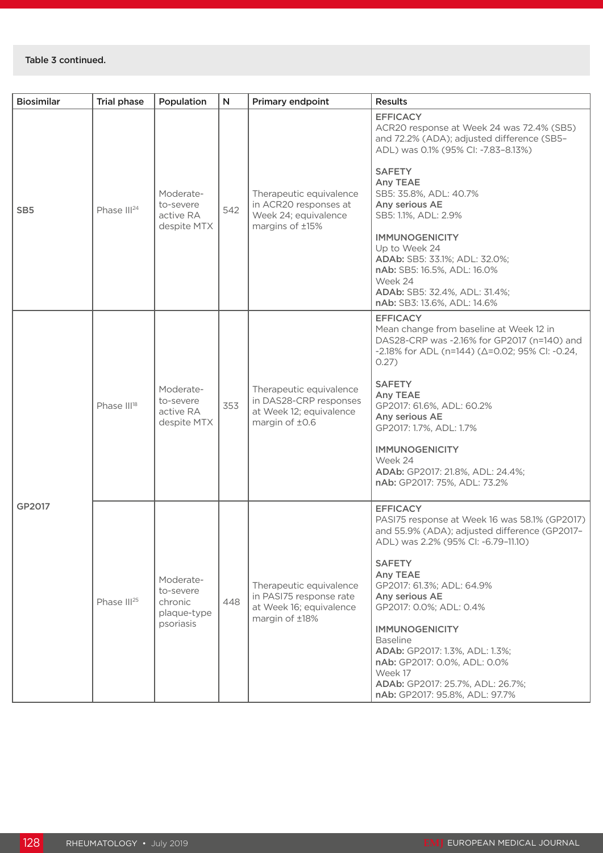| <b>Biosimilar</b> | <b>Trial phase</b>      | Population                                                    | N   | Primary endpoint                                                                                | <b>Results</b>                                                                                                                                                                                                                                                                                                                                                                                                                                                 |
|-------------------|-------------------------|---------------------------------------------------------------|-----|-------------------------------------------------------------------------------------------------|----------------------------------------------------------------------------------------------------------------------------------------------------------------------------------------------------------------------------------------------------------------------------------------------------------------------------------------------------------------------------------------------------------------------------------------------------------------|
| SB <sub>5</sub>   | Phase III <sup>24</sup> | Moderate-<br>to-severe<br>active RA<br>despite MTX            | 542 | Therapeutic equivalence<br>in ACR20 responses at<br>Week 24; equivalence<br>margins of ±15%     | <b>EFFICACY</b><br>ACR20 response at Week 24 was 72.4% (SB5)<br>and 72.2% (ADA); adjusted difference (SB5-<br>ADL) was 0.1% (95% CI: -7.83-8.13%)<br><b>SAFETY</b><br>Any TEAE<br>SB5: 35.8%, ADL: 40.7%<br>Any serious AE<br>SB5: 1.1%, ADL: 2.9%<br><b>IMMUNOGENICITY</b><br>Up to Week 24<br>ADAb: SB5: 33.1%; ADL: 32.0%;<br>nAb: SB5: 16.5%, ADL: 16.0%<br>Week 24<br>ADAb: SB5: 32.4%, ADL: 31.4%;<br>nAb: SB3: 13.6%, ADL: 14.6%                        |
| GP2017            | Phase II <sup>18</sup>  | Moderate-<br>to-severe<br>active RA<br>despite MTX            | 353 | Therapeutic equivalence<br>in DAS28-CRP responses<br>at Week 12; equivalence<br>margin of ±0.6  | <b>EFFICACY</b><br>Mean change from baseline at Week 12 in<br>DAS28-CRP was -2.16% for GP2017 (n=140) and<br>$-2.18\%$ for ADL (n=144) ( $\Delta$ =0.02; 95% CI: -0.24,<br>0.27)<br><b>SAFETY</b><br>Any TEAE<br>GP2017: 61.6%, ADL: 60.2%<br>Any serious AE<br>GP2017: 1.7%, ADL: 1.7%<br><b>IMMUNOGENICITY</b><br>Week 24<br>ADAb: GP2017: 21.8%, ADL: 24.4%;<br>nAb: GP2017: 75%, ADL: 73.2%                                                                |
|                   | Phase III <sup>25</sup> | Moderate-<br>to-severe<br>chronic<br>plaque-type<br>psoriasis | 448 | Therapeutic equivalence<br>in PASI75 response rate<br>at Week 16; equivalence<br>margin of ±18% | <b>EFFICACY</b><br>PASI75 response at Week 16 was 58.1% (GP2017)<br>and 55.9% (ADA); adjusted difference (GP2017-<br>ADL) was 2.2% (95% Cl: -6.79-11.10)<br><b>SAFETY</b><br>Any TEAE<br>GP2017: 61.3%; ADL: 64.9%<br>Any serious AE<br>GP2017: 0.0%; ADL: 0.4%<br><b>IMMUNOGENICITY</b><br><b>Baseline</b><br>ADAb: GP2017: 1.3%, ADL: 1.3%;<br>nAb: GP2017: 0.0%, ADL: 0.0%<br>Week 17<br>ADAb: GP2017: 25.7%, ADL: 26.7%;<br>nAb: GP2017: 95.8%, ADL: 97.7% |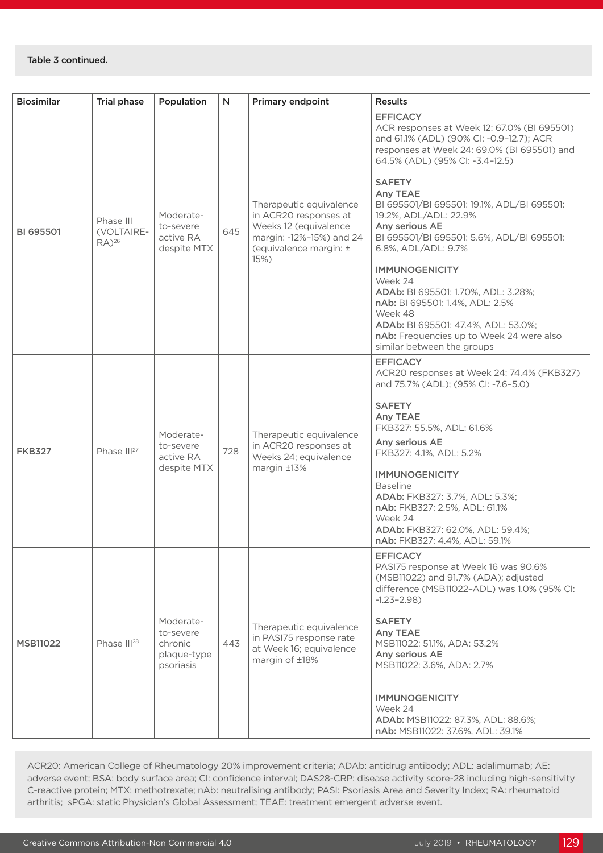| <b>Biosimilar</b> | <b>Trial phase</b>                             | Population                                                    | N   | Primary endpoint                                                                                                                        | <b>Results</b>                                                                                                                                                                                                                                                                                                                                                                                                                                                                                                  |
|-------------------|------------------------------------------------|---------------------------------------------------------------|-----|-----------------------------------------------------------------------------------------------------------------------------------------|-----------------------------------------------------------------------------------------------------------------------------------------------------------------------------------------------------------------------------------------------------------------------------------------------------------------------------------------------------------------------------------------------------------------------------------------------------------------------------------------------------------------|
| <b>BI 695501</b>  | Phase III<br>(VOLTAIRE-<br>$RA)$ <sup>26</sup> | Moderate-<br>to-severe<br>active RA<br>despite MTX            | 645 | Therapeutic equivalence<br>in ACR20 responses at<br>Weeks 12 (equivalence<br>margin: -12%-15%) and 24<br>(equivalence margin: ±<br>15%) | <b>EFFICACY</b><br>ACR responses at Week 12: 67.0% (BI 695501)<br>and 61.1% (ADL) (90% CI: -0.9-12.7); ACR<br>responses at Week 24: 69.0% (BI 695501) and<br>64.5% (ADL) (95% CI: -3.4-12.5)<br><b>SAFETY</b><br>Any TEAE<br>BI 695501/BI 695501: 19.1%, ADL/BI 695501:<br>19.2%, ADL/ADL: 22.9%<br>Any serious AE<br>BI 695501/BI 695501: 5.6%, ADL/BI 695501:<br>6.8%, ADL/ADL: 9.7%<br><b>IMMUNOGENICITY</b><br>Week 24<br>ADAb: BI 695501: 1.70%, ADL: 3.28%;<br>nAb: BI 695501: 1.4%, ADL: 2.5%<br>Week 48 |
|                   |                                                |                                                               |     |                                                                                                                                         | ADAb: BI 695501: 47.4%, ADL: 53.0%;<br>nAb: Frequencies up to Week 24 were also<br>similar between the groups                                                                                                                                                                                                                                                                                                                                                                                                   |
| <b>FKB327</b>     | Phase III <sup>27</sup>                        | Moderate-<br>to-severe<br>active RA<br>despite MTX            | 728 | Therapeutic equivalence<br>in ACR20 responses at<br>Weeks 24; equivalence<br>margin ±13%                                                | <b>EFFICACY</b><br>ACR20 responses at Week 24: 74.4% (FKB327)<br>and 75.7% (ADL); (95% CI: -7.6-5.0)<br><b>SAFETY</b><br><b>Any TEAE</b><br>FKB327: 55.5%, ADL: 61.6%<br>Any serious AE<br>FKB327: 4.1%, ADL: 5.2%<br><b>IMMUNOGENICITY</b><br><b>Baseline</b><br>ADAb: FKB327: 3.7%, ADL: 5.3%;<br>nAb: FKB327: 2.5%, ADL: 61.1%<br>Week 24<br>ADAb: FKB327: 62.0%, ADL: 59.4%;<br>nAb: FKB327: 4.4%, ADL: 59.1%                                                                                               |
| <b>MSB11022</b>   | Phase III <sup>28</sup>                        | Moderate-<br>to-severe<br>chronic<br>plaque-type<br>psoriasis | 443 | Therapeutic equivalence<br>in PASI75 response rate<br>at Week 16; equivalence<br>margin of ±18%                                         | <b>EFFICACY</b><br>PASI75 response at Week 16 was 90.6%<br>(MSB11022) and 91.7% (ADA); adjusted<br>difference (MSB11022-ADL) was 1.0% (95% CI:<br>$-1.23 - 2.98$<br><b>SAFETY</b><br>Any TEAE<br>MSB11022: 51.1%, ADA: 53.2%<br>Any serious AE<br>MSB11022: 3.6%, ADA: 2.7%<br><b>IMMUNOGENICITY</b><br>Week 24<br>ADAb: MSB11022: 87.3%, ADL: 88.6%;<br>nAb: MSB11022: 37.6%, ADL: 39.1%                                                                                                                       |

ACR20: American College of Rheumatology 20% improvement criteria; ADAb: antidrug antibody; ADL: adalimumab; AE: adverse event; BSA: body surface area; CI: confidence interval; DAS28-CRP: disease activity score-28 including high-sensitivity C-reactive protein; MTX: methotrexate; nAb: neutralising antibody; PASI: Psoriasis Area and Severity Index; RA: rheumatoid arthritis; sPGA: static Physician's Global Assessment; TEAE: treatment emergent adverse event.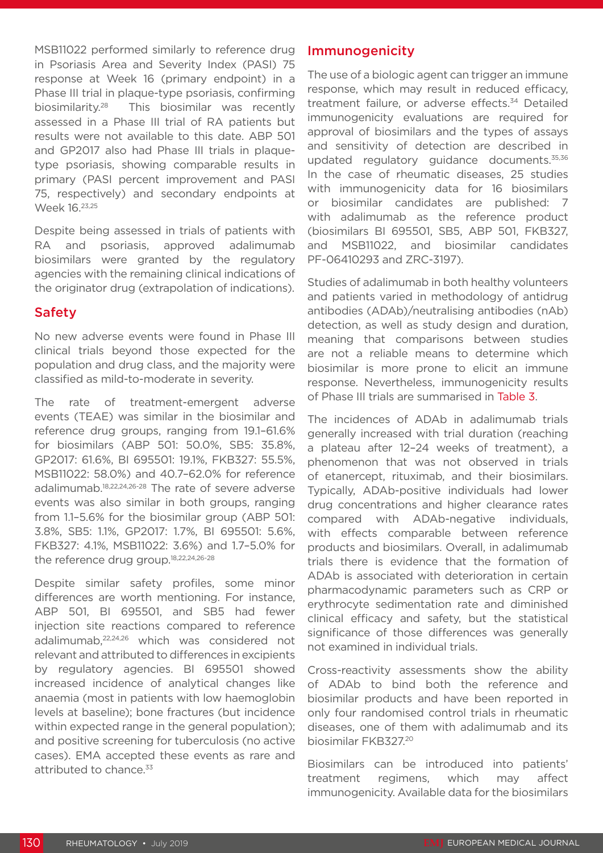MSB11022 performed similarly to reference drug in Psoriasis Area and Severity Index (PASI) 75 response at Week 16 (primary endpoint) in a Phase III trial in plaque-type psoriasis, confirming biosimilarity.28 This biosimilar was recently assessed in a Phase III trial of RA patients but results were not available to this date. ABP 501 and GP2017 also had Phase III trials in plaquetype psoriasis, showing comparable results in primary (PASI percent improvement and PASI 75, respectively) and secondary endpoints at Week 16.23,25

Despite being assessed in trials of patients with RA and psoriasis, approved adalimumab biosimilars were granted by the regulatory agencies with the remaining clinical indications of the originator drug (extrapolation of indications).

## Safety

No new adverse events were found in Phase III clinical trials beyond those expected for the population and drug class, and the majority were classified as mild-to-moderate in severity.

The rate of treatment-emergent adverse events (TEAE) was similar in the biosimilar and reference drug groups, ranging from 19.1–61.6% for biosimilars (ABP 501: 50.0%, SB5: 35.8%, GP2017: 61.6%, BI 695501: 19.1%, FKB327: 55.5%, MSB11022: 58.0%) and 40.7–62.0% for reference adalimumab.<sup>18,22,24,26-28</sup> The rate of severe adverse events was also similar in both groups, ranging from 1.1–5.6% for the biosimilar group (ABP 501: 3.8%, SB5: 1.1%, GP2017: 1.7%, BI 695501: 5.6%, FKB327: 4.1%, MSB11022: 3.6%) and 1.7–5.0% for the reference drug group.<sup>18,22,24,26-28</sup>

Despite similar safety profiles, some minor differences are worth mentioning. For instance, ABP 501, BI 695501, and SB5 had fewer injection site reactions compared to reference adalimumab,22,24,26 which was considered not relevant and attributed to differences in excipients by regulatory agencies. BI 695501 showed increased incidence of analytical changes like anaemia (most in patients with low haemoglobin levels at baseline); bone fractures (but incidence within expected range in the general population); and positive screening for tuberculosis (no active cases). EMA accepted these events as rare and attributed to chance.<sup>33</sup>

## Immunogenicity

The use of a biologic agent can trigger an immune response, which may result in reduced efficacy, treatment failure, or adverse effects.<sup>34</sup> Detailed immunogenicity evaluations are required for approval of biosimilars and the types of assays and sensitivity of detection are described in updated regulatory guidance documents.<sup>35,36</sup> In the case of rheumatic diseases, 25 studies with immunogenicity data for 16 biosimilars or biosimilar candidates are published: 7 with adalimumab as the reference product (biosimilars BI 695501, SB5, ABP 501, FKB327, and MSB11022, and biosimilar candidates PF-06410293 and ZRC-3197).

Studies of adalimumab in both healthy volunteers and patients varied in methodology of antidrug antibodies (ADAb)/neutralising antibodies (nAb) detection, as well as study design and duration, meaning that comparisons between studies are not a reliable means to determine which biosimilar is more prone to elicit an immune response. Nevertheless, immunogenicity results of Phase III trials are summarised in Table 3.

The incidences of ADAb in adalimumab trials generally increased with trial duration (reaching a plateau after 12–24 weeks of treatment), a phenomenon that was not observed in trials of etanercept, rituximab, and their biosimilars. Typically, ADAb-positive individuals had lower drug concentrations and higher clearance rates compared with ADAb-negative individuals, with effects comparable between reference products and biosimilars. Overall, in adalimumab trials there is evidence that the formation of ADAb is associated with deterioration in certain pharmacodynamic parameters such as CRP or erythrocyte sedimentation rate and diminished clinical efficacy and safety, but the statistical significance of those differences was generally not examined in individual trials.

Cross-reactivity assessments show the ability of ADAb to bind both the reference and biosimilar products and have been reported in only four randomised control trials in rheumatic diseases, one of them with adalimumab and its biosimilar FKB327.20

Biosimilars can be introduced into patients' treatment regimens, which may affect immunogenicity. Available data for the biosimilars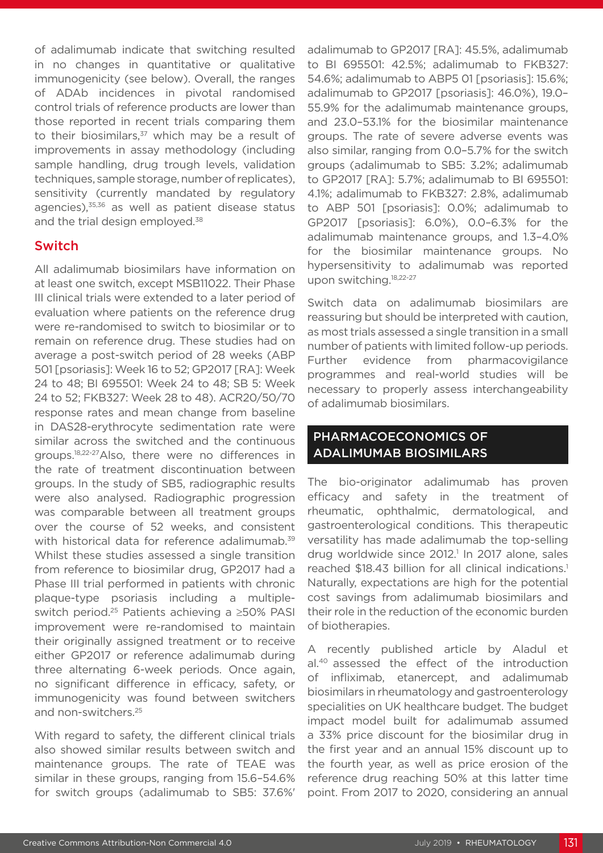of adalimumab indicate that switching resulted in no changes in quantitative or qualitative immunogenicity (see below). Overall, the ranges of ADAb incidences in pivotal randomised control trials of reference products are lower than those reported in recent trials comparing them to their biosimilars, $37$  which may be a result of improvements in assay methodology (including sample handling, drug trough levels, validation techniques, sample storage, number of replicates), sensitivity (currently mandated by regulatory agencies),<sup>35,36</sup> as well as patient disease status and the trial design employed.<sup>38</sup>

## Switch

All adalimumab biosimilars have information on at least one switch, except MSB11022. Their Phase III clinical trials were extended to a later period of evaluation where patients on the reference drug were re-randomised to switch to biosimilar or to remain on reference drug. These studies had on average a post-switch period of 28 weeks (ABP 501 [psoriasis]: Week 16 to 52; GP2017 [RA]: Week 24 to 48; BI 695501: Week 24 to 48; SB 5: Week 24 to 52; FKB327: Week 28 to 48). ACR20/50/70 response rates and mean change from baseline in DAS28-erythrocyte sedimentation rate were similar across the switched and the continuous groups.18,22-27Also, there were no differences in the rate of treatment discontinuation between groups. In the study of SB5, radiographic results were also analysed. Radiographic progression was comparable between all treatment groups over the course of 52 weeks, and consistent with historical data for reference adalimumab.<sup>39</sup> Whilst these studies assessed a single transition from reference to biosimilar drug, GP2017 had a Phase III trial performed in patients with chronic plaque-type psoriasis including a multipleswitch period.25 Patients achieving a ≥50% PASI improvement were re-randomised to maintain their originally assigned treatment or to receive either GP2017 or reference adalimumab during three alternating 6-week periods. Once again, no significant difference in efficacy, safety, or immunogenicity was found between switchers and non-switchers.25

With regard to safety, the different clinical trials also showed similar results between switch and maintenance groups. The rate of TEAE was similar in these groups, ranging from 15.6–54.6% for switch groups (adalimumab to SB5: 37.6%'

adalimumab to GP2017 [RA]: 45.5%, adalimumab to BI 695501: 42.5%; adalimumab to FKB327: 54.6%; adalimumab to ABP5 01 [psoriasis]: 15.6%; adalimumab to GP2017 [psoriasis]: 46.0%), 19.0– 55.9% for the adalimumab maintenance groups, and 23.0–53.1% for the biosimilar maintenance groups. The rate of severe adverse events was also similar, ranging from 0.0–5.7% for the switch groups (adalimumab to SB5: 3.2%; adalimumab to GP2017 [RA]: 5.7%; adalimumab to BI 695501: 4.1%; adalimumab to FKB327: 2.8%, adalimumab to ABP 501 [psoriasis]: 0.0%; adalimumab to GP2017 [psoriasis]: 6.0%), 0.0–6.3% for the adalimumab maintenance groups, and 1.3–4.0% for the biosimilar maintenance groups. No hypersensitivity to adalimumab was reported upon switching.18,22-27

Switch data on adalimumab biosimilars are reassuring but should be interpreted with caution, as most trials assessed a single transition in a small number of patients with limited follow-up periods. Further evidence from pharmacovigilance programmes and real-world studies will be necessary to properly assess interchangeability of adalimumab biosimilars.

## PHARMACOECONOMICS OF ADALIMUMAB BIOSIMILARS

The bio-originator adalimumab has proven efficacy and safety in the treatment of rheumatic, ophthalmic, dermatological, and gastroenterological conditions. This therapeutic versatility has made adalimumab the top-selling drug worldwide since 2012.<sup>1</sup> In 2017 alone, sales reached \$18.43 billion for all clinical indications.<sup>1</sup> Naturally, expectations are high for the potential cost savings from adalimumab biosimilars and their role in the reduction of the economic burden of biotherapies.

A recently published article by Aladul et al.40 assessed the effect of the introduction of infliximab, etanercept, and adalimumab biosimilars in rheumatology and gastroenterology specialities on UK healthcare budget. The budget impact model built for adalimumab assumed a 33% price discount for the biosimilar drug in the first year and an annual 15% discount up to the fourth year, as well as price erosion of the reference drug reaching 50% at this latter time point. From 2017 to 2020, considering an annual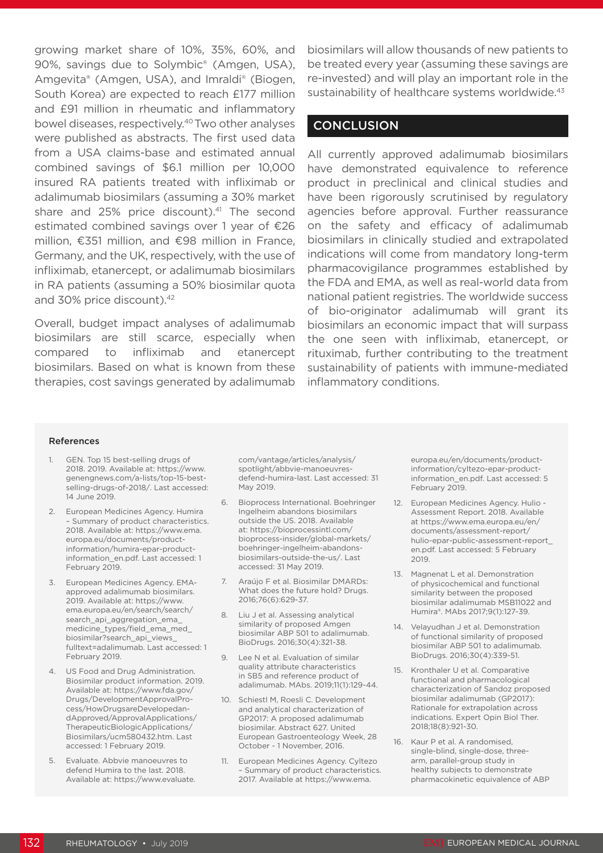growing market share of 10%, 35%, 60%, and 90%, savings due to Solymbic® (Amgen, USA), Amgevita® (Amgen, USA), and Imraldi® (Biogen, South Korea) are expected to reach £177 million and £91 million in rheumatic and inflammatory bowel diseases, respectively.40 Two other analyses were published as abstracts. The first used data from a USA claims-base and estimated annual combined savings of \$6.1 million per 10,000 insured RA patients treated with infliximab or adalimumab biosimilars (assuming a 30% market share and 25% price discount).<sup>41</sup> The second estimated combined savings over 1 year of €26 million, €351 million, and €98 million in France, Germany, and the UK, respectively, with the use of infliximab, etanercept, or adalimumab biosimilars in RA patients (assuming a 50% biosimilar quota and 30% price discount).42

Overall, budget impact analyses of adalimumab biosimilars are still scarce, especially when compared to infliximab and etanercept biosimilars. Based on what is known from these therapies, cost savings generated by adalimumab

biosimilars will allow thousands of new patients to be treated every year (assuming these savings are re-invested) and will play an important role in the sustainability of healthcare systems worldwide.<sup>43</sup>

## **CONCLUSION**

All currently approved adalimumab biosimilars have demonstrated equivalence to reference product in preclinical and clinical studies and have been rigorously scrutinised by regulatory agencies before approval. Further reassurance on the safety and efficacy of adalimumab biosimilars in clinically studied and extrapolated indications will come from mandatory long-term pharmacovigilance programmes established by the FDA and EMA, as well as real-world data from national patient registries. The worldwide success of bio-originator adalimumab will grant its biosimilars an economic impact that will surpass the one seen with infliximab, etanercept, or rituximab, further contributing to the treatment sustainability of patients with immune-mediated inflammatory conditions.

#### References

- 1. GEN. Top 15 best-selling drugs of 2018. 2019. Available at: https://www. genengnews.com/a-lists/top-15-bestselling-drugs-of-2018/. Last accessed: 14 June 2019.
- 2. European Medicines Agency. Humira – Summary of product characteristics. 2018. Available at: https://www.ema. europa.eu/documents/productinformation/humira-epar-productinformation\_en.pdf. Last accessed: 1 February 2019.
- 3. European Medicines Agency. EMAapproved adalimumab biosimilars. 2019. Available at: https://www. ema.europa.eu/en/search/search/ search api aggregation ema medicine\_types/field\_ema\_med biosimilar?search\_api\_views\_ fulltext=adalimumab. Last accessed: 1 February 2019.
- 4. US Food and Drug Administration. Biosimilar product information. 2019. Available at: https://www.fda.gov/ Drugs/DevelopmentApprovalProcess/HowDrugsareDevelopedandApproved/ApprovalApplications/ TherapeuticBiologicApplications/ Biosimilars/ucm580432.htm. Last accessed: 1 February 2019.
- 5. Evaluate. Abbvie manoeuvres to defend Humira to the last. 2018. Available at: https://www.evaluate.

com/vantage/articles/analysis/ spotlight/abbvie-manoeuvresdefend-humira-last. Last accessed: 31 May 2019.

- 6. Bioprocess International. Boehringer Ingelheim abandons biosimilars outside the US. 2018. Available at: https://bioprocessintl.com/ bioprocess-insider/global-markets/ boehringer-ingelheim-abandonsbiosimilars-outside-the-us/. Last accessed: 31 May 2019.
- 7. Araújo F et al. Biosimilar DMARDs: What does the future hold? Drugs. 2016;76(6):629-37.
- 8. Liu J et al. Assessing analytical similarity of proposed Amgen biosimilar ABP 501 to adalimumab. BioDrugs. 2016;30(4):321-38.
- 9. Lee N et al. Evaluation of similar quality attribute characteristics in SB5 and reference product of adalimumab. MAbs. 2019;11(1):129-44.
- 10. Schiestl M, Roesli C. Development and analytical characterization of GP2017: A proposed adalimumab biosimilar. Abstract 627. United European Gastroenteology Week, 28 October - 1 November, 2016.
- 11. European Medicines Agency. Cyltezo – Summary of product characteristics. 2017. Available at https://www.ema.

europa.eu/en/documents/productinformation/cyltezo-epar-productinformation\_en.pdf. Last accessed: 5 February 2019.

- 12. European Medicines Agency. Hulio Assessment Report. 2018. Available at https://www.ema.europa.eu/en/ documents/assessment-report/ hulio-epar-public-assessment-report\_ en.pdf. Last accessed: 5 February 2019.
- 13. Magnenat L et al. Demonstration of physicochemical and functional similarity between the proposed biosimilar adalimumab MSB11022 and Humira®. MAbs 2017;9(1):127-39.
- 14. Velayudhan J et al. Demonstration of functional similarity of proposed biosimilar ABP 501 to adalimumab. BioDrugs. 2016;30(4):339-51.
- 15. Kronthaler U et al. Comparative functional and pharmacological characterization of Sandoz proposed biosimilar adalimumab (GP2017): Rationale for extrapolation across indications. Expert Opin Biol Ther. 2018;18(8):921-30.
- 16. Kaur P et al. A randomised, single-blind, single-dose, threearm, parallel-group study in healthy subjects to demonstrate pharmacokinetic equivalence of ABP